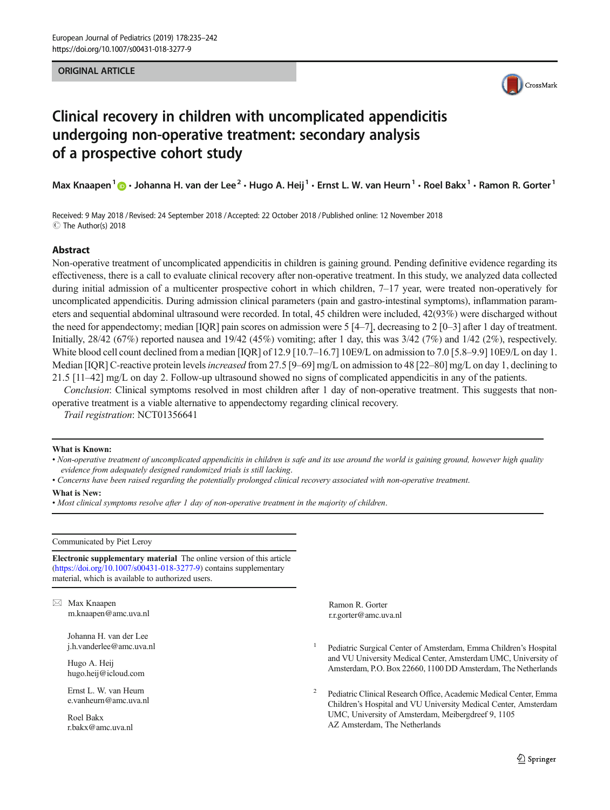### ORIGINAL ARTICLE



# Clinical recovery in children with uncomplicated appendicitis undergoing non-operative treatment: secondary analysis of a prospective cohort study

Max Knaapen<sup>1</sup>  $\cdot$  Johanna H. van der Lee<sup>2</sup> · Hugo A. Heij<sup>1</sup> · Ernst L. W. van Heurn<sup>1</sup> · Roel Bakx<sup>1</sup> · Ramon R. Gorter<sup>1</sup>

Received: 9 May 2018 / Revised: 24 September 2018 /Accepted: 22 October 2018 /Published online: 12 November 2018  $\circledcirc$  The Author(s) 2018

## Abstract

Non-operative treatment of uncomplicated appendicitis in children is gaining ground. Pending definitive evidence regarding its effectiveness, there is a call to evaluate clinical recovery after non-operative treatment. In this study, we analyzed data collected during initial admission of a multicenter prospective cohort in which children, 7–17 year, were treated non-operatively for uncomplicated appendicitis. During admission clinical parameters (pain and gastro-intestinal symptoms), inflammation parameters and sequential abdominal ultrasound were recorded. In total, 45 children were included, 42(93%) were discharged without the need for appendectomy; median  $[IQR]$  pain scores on admission were 5 [4–7], decreasing to 2 [0–3] after 1 day of treatment. Initially,  $28/42$  (67%) reported nausea and 19/42 (45%) vomiting; after 1 day, this was  $3/42$  (7%) and  $1/42$  (2%), respectively. White blood cell count declined from a median [IQR] of 12.9 [10.7–16.7] 10E9/L on admission to 7.0 [5.8–9.9] 10E9/L on day 1. Median [IQR] C-reactive protein levels *increased* from 27.5 [9–69] mg/L on admission to 48 [22–80] mg/L on day 1, declining to 21.5 [11–42] mg/L on day 2. Follow-up ultrasound showed no signs of complicated appendicitis in any of the patients.

Conclusion: Clinical symptoms resolved in most children after 1 day of non-operative treatment. This suggests that nonoperative treatment is a viable alternative to appendectomy regarding clinical recovery.

Trail registration: NCT01356641

#### What is Known:

• Non-operative treatment of uncomplicated appendicitis in children is safe and its use around the world is gaining ground, however high quality evidence from adequately designed randomized trials is still lacking.

• Concerns have been raised regarding the potentially prolonged clinical recovery associated with non-operative treatment.

#### What is New:

• Most clinical symptoms resolve after 1 day of non-operative treatment in the majority of children.

Communicated by Piet Leroy

Electronic supplementary material The online version of this article (<https://doi.org/10.1007/s00431-018-3277-9>) contains supplementary material, which is available to authorized users.

 $\boxtimes$  Max Knaapen [m.knaapen@amc.uva.nl](mailto:m.knaapen@amc.uva.nl)

> Johanna H. van der Lee j.h.vanderlee@amc.uva.nl

Hugo A. Heij hugo.heij@icloud.com

Ernst L. W. van Heurn e.vanheurn@amc.uva.nl

Roel Bakx r.bakx@amc.uva.nl

Ramon R. Gorter r.r.gorter@amc.uva.nl

- <sup>1</sup> Pediatric Surgical Center of Amsterdam, Emma Children's Hospital and VU University Medical Center, Amsterdam UMC, University of Amsterdam, P.O. Box 22660, 1100 DD Amsterdam, The Netherlands
- <sup>2</sup> Pediatric Clinical Research Office, Academic Medical Center, Emma Children's Hospital and VU University Medical Center, Amsterdam UMC, University of Amsterdam, Meibergdreef 9, 1105 AZ Amsterdam, The Netherlands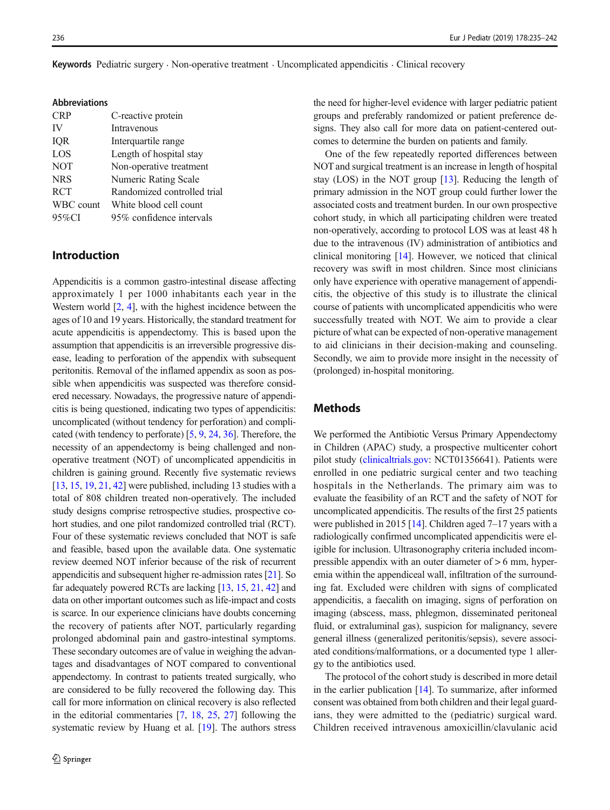|  |  | Keywords Pediatric surgery · Non-operative treatment · Uncomplicated appendicitis · Clinical recovery |
|--|--|-------------------------------------------------------------------------------------------------------|
|  |  |                                                                                                       |

| <b>Abbreviations</b> |                             |
|----------------------|-----------------------------|
| <b>CRP</b>           | C-reactive protein          |
| IV                   | Intravenous                 |
| IQR                  | Interquartile range         |
| LOS                  | Length of hospital stay     |
| <b>NOT</b>           | Non-operative treatment     |
| <b>NRS</b>           | <b>Numeric Rating Scale</b> |
| <b>RCT</b>           | Randomized controlled trial |
| WBC count            | White blood cell count      |
| $95\%$ CI            | 95% confidence intervals    |
|                      |                             |

# Introduction

Appendicitis is a common gastro-intestinal disease affecting approximately 1 per 1000 inhabitants each year in the Western world  $[2, 4]$  $[2, 4]$  $[2, 4]$  $[2, 4]$ , with the highest incidence between the ages of 10 and 19 years. Historically, the standard treatment for acute appendicitis is appendectomy. This is based upon the assumption that appendicitis is an irreversible progressive disease, leading to perforation of the appendix with subsequent peritonitis. Removal of the inflamed appendix as soon as possible when appendicitis was suspected was therefore considered necessary. Nowadays, the progressive nature of appendicitis is being questioned, indicating two types of appendicitis: uncomplicated (without tendency for perforation) and complicated (with tendency to perforate) [[5,](#page-6-0) [9,](#page-6-0) [24](#page-7-0), [36\]](#page-7-0). Therefore, the necessity of an appendectomy is being challenged and nonoperative treatment (NOT) of uncomplicated appendicitis in children is gaining ground. Recently five systematic reviews [\[13,](#page-6-0) [15,](#page-6-0) [19,](#page-6-0) [21](#page-7-0), [42](#page-7-0)] were published, including 13 studies with a total of 808 children treated non-operatively. The included study designs comprise retrospective studies, prospective cohort studies, and one pilot randomized controlled trial (RCT). Four of these systematic reviews concluded that NOT is safe and feasible, based upon the available data. One systematic review deemed NOT inferior because of the risk of recurrent appendicitis and subsequent higher re-admission rates [\[21](#page-7-0)]. So far adequately powered RCTs are lacking [[13,](#page-6-0) [15](#page-6-0), [21,](#page-7-0) [42](#page-7-0)] and data on other important outcomes such as life-impact and costs is scarce. In our experience clinicians have doubts concerning the recovery of patients after NOT, particularly regarding prolonged abdominal pain and gastro-intestinal symptoms. These secondary outcomes are of value in weighing the advantages and disadvantages of NOT compared to conventional appendectomy. In contrast to patients treated surgically, who are considered to be fully recovered the following day. This call for more information on clinical recovery is also reflected in the editorial commentaries [\[7](#page-6-0), [18](#page-6-0), [25](#page-7-0), [27\]](#page-7-0) following the systematic review by Huang et al. [[19\]](#page-6-0). The authors stress the need for higher-level evidence with larger pediatric patient groups and preferably randomized or patient preference designs. They also call for more data on patient-centered outcomes to determine the burden on patients and family.

One of the few repeatedly reported differences between NOT and surgical treatment is an increase in length of hospital stay (LOS) in the NOT group [\[13\]](#page-6-0). Reducing the length of primary admission in the NOT group could further lower the associated costs and treatment burden. In our own prospective cohort study, in which all participating children were treated non-operatively, according to protocol LOS was at least 48 h due to the intravenous (IV) administration of antibiotics and clinical monitoring [[14\]](#page-6-0). However, we noticed that clinical recovery was swift in most children. Since most clinicians only have experience with operative management of appendicitis, the objective of this study is to illustrate the clinical course of patients with uncomplicated appendicitis who were successfully treated with NOT. We aim to provide a clear picture of what can be expected of non-operative management to aid clinicians in their decision-making and counseling. Secondly, we aim to provide more insight in the necessity of (prolonged) in-hospital monitoring.

# Methods

We performed the Antibiotic Versus Primary Appendectomy in Children (APAC) study, a prospective multicenter cohort pilot study [\(clinicaltrials.gov:](http://clinicaltrials.gov) NCT01356641). Patients were enrolled in one pediatric surgical center and two teaching hospitals in the Netherlands. The primary aim was to evaluate the feasibility of an RCT and the safety of NOT for uncomplicated appendicitis. The results of the first 25 patients were published in 2015 [[14\]](#page-6-0). Children aged 7–17 years with a radiologically confirmed uncomplicated appendicitis were eligible for inclusion. Ultrasonography criteria included incompressible appendix with an outer diameter of > 6 mm, hyperemia within the appendiceal wall, infiltration of the surrounding fat. Excluded were children with signs of complicated appendicitis, a faecalith on imaging, signs of perforation on imaging (abscess, mass, phlegmon, disseminated peritoneal fluid, or extraluminal gas), suspicion for malignancy, severe general illness (generalized peritonitis/sepsis), severe associated conditions/malformations, or a documented type 1 allergy to the antibiotics used.

The protocol of the cohort study is described in more detail in the earlier publication [[14](#page-6-0)]. To summarize, after informed consent was obtained from both children and their legal guardians, they were admitted to the (pediatric) surgical ward. Children received intravenous amoxicillin/clavulanic acid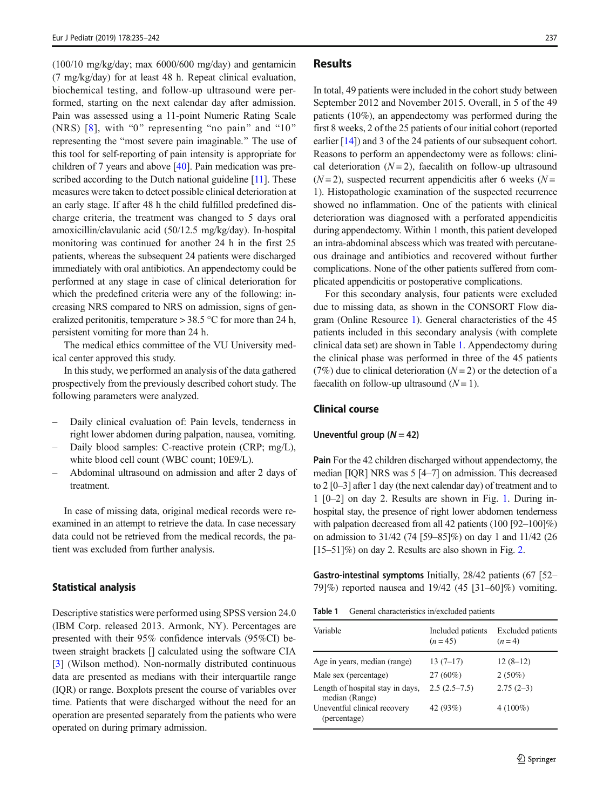$(100/10 \text{ mg/kg/day})$ ; max  $6000/600 \text{ mg/day}$  and gentamicin (7 mg/kg/day) for at least 48 h. Repeat clinical evaluation, biochemical testing, and follow-up ultrasound were performed, starting on the next calendar day after admission. Pain was assessed using a 11-point Numeric Rating Scale (NRS)  $[8]$ , with "0" representing "no pain" and "10" representing the "most severe pain imaginable." The use of this tool for self-reporting of pain intensity is appropriate for children of 7 years and above [\[40](#page-7-0)]. Pain medication was pre-scribed according to the Dutch national guideline [\[11\]](#page-6-0). These measures were taken to detect possible clinical deterioration at an early stage. If after 48 h the child fulfilled predefined discharge criteria, the treatment was changed to 5 days oral amoxicillin/clavulanic acid (50/12.5 mg/kg/day). In-hospital monitoring was continued for another 24 h in the first 25 patients, whereas the subsequent 24 patients were discharged immediately with oral antibiotics. An appendectomy could be performed at any stage in case of clinical deterioration for which the predefined criteria were any of the following: increasing NRS compared to NRS on admission, signs of generalized peritonitis, temperature  $> 38.5$  °C for more than 24 h, persistent vomiting for more than 24 h.

The medical ethics committee of the VU University medical center approved this study.

In this study, we performed an analysis of the data gathered prospectively from the previously described cohort study. The following parameters were analyzed.

- Daily clinical evaluation of: Pain levels, tenderness in right lower abdomen during palpation, nausea, vomiting.
- Daily blood samples: C-reactive protein (CRP; mg/L), white blood cell count (WBC count; 10E9/L).
- Abdominal ultrasound on admission and after 2 days of treatment.

In case of missing data, original medical records were reexamined in an attempt to retrieve the data. In case necessary data could not be retrieved from the medical records, the patient was excluded from further analysis.

### Statistical analysis

Descriptive statistics were performed using SPSS version 24.0 (IBM Corp. released 2013. Armonk, NY). Percentages are presented with their 95% confidence intervals (95%CI) between straight brackets [] calculated using the software CIA [\[3](#page-6-0)] (Wilson method). Non-normally distributed continuous data are presented as medians with their interquartile range (IQR) or range. Boxplots present the course of variables over time. Patients that were discharged without the need for an operation are presented separately from the patients who were operated on during primary admission.

# **Results**

In total, 49 patients were included in the cohort study between September 2012 and November 2015. Overall, in 5 of the 49 patients (10%), an appendectomy was performed during the first 8 weeks, 2 of the 25 patients of our initial cohort (reported earlier [[14\]](#page-6-0)) and 3 of the 24 patients of our subsequent cohort. Reasons to perform an appendectomy were as follows: clinical deterioration  $(N=2)$ , faecalith on follow-up ultrasound  $(N=2)$ , suspected recurrent appendicitis after 6 weeks  $(N=$ 1). Histopathologic examination of the suspected recurrence showed no inflammation. One of the patients with clinical deterioration was diagnosed with a perforated appendicitis during appendectomy. Within 1 month, this patient developed an intra-abdominal abscess which was treated with percutaneous drainage and antibiotics and recovered without further complications. None of the other patients suffered from complicated appendicitis or postoperative complications.

For this secondary analysis, four patients were excluded due to missing data, as shown in the CONSORT Flow diagram (Online Resource 1). General characteristics of the 45 patients included in this secondary analysis (with complete clinical data set) are shown in Table 1. Appendectomy during the clinical phase was performed in three of the 45 patients (7%) due to clinical deterioration ( $N = 2$ ) or the detection of a faecalith on follow-up ultrasound  $(N = 1)$ .

# Clinical course

## Uneventful group  $(N = 42)$

Pain For the 42 children discharged without appendectomy, the median [IQR] NRS was 5 [4–7] on admission. This decreased to 2 [0–3] after 1 day (the next calendar day) of treatment and to 1 [0–2] on day 2. Results are shown in Fig. [1.](#page-3-0) During inhospital stay, the presence of right lower abdomen tenderness with palpation decreased from all 42 patients (100 [92–100]%) on admission to 31/42 (74 [59–85]%) on day 1 and 11/42 (26 [15–51]%) on day 2. Results are also shown in Fig. [2.](#page-3-0)

Gastro-intestinal symptoms Initially, 28/42 patients (67 [52– 79]%) reported nausea and 19/42 (45 [31–60]%) vomiting.

| Table 1 |  | General characteristics in/excluded patients |  |  |  |
|---------|--|----------------------------------------------|--|--|--|
|---------|--|----------------------------------------------|--|--|--|

| Variable                                           | Included patients<br>$(n=45)$ | <b>Excluded</b> patients<br>$(n=4)$ |
|----------------------------------------------------|-------------------------------|-------------------------------------|
| Age in years, median (range)                       | $13(7-17)$                    | $12(8-12)$                          |
| Male sex (percentage)                              | $27(60\%)$                    | $2(50\%)$                           |
| Length of hospital stay in days,<br>median (Range) | $2.5(2.5-7.5)$                | $2.75(2-3)$                         |
| Uneventful clinical recovery<br>(percentage)       | 42 (93%)                      | $4(100\%)$                          |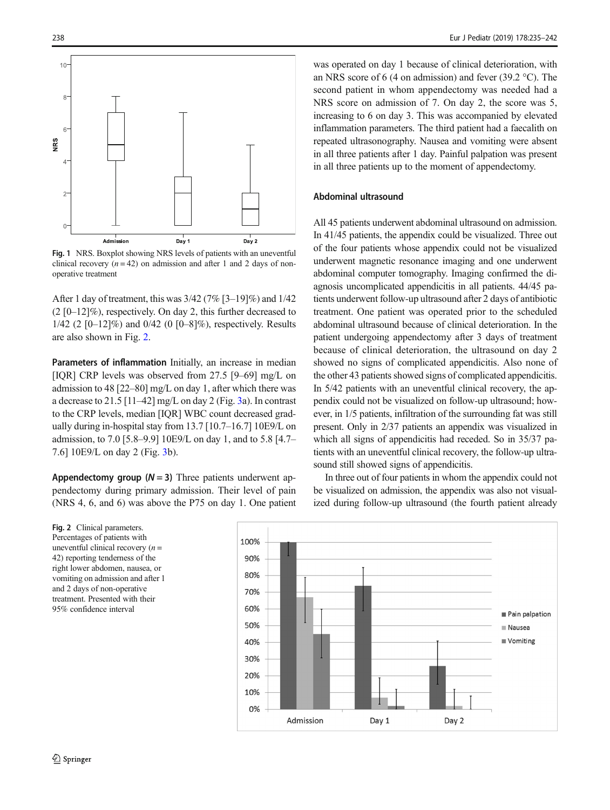<span id="page-3-0"></span>

Fig. 1 NRS. Boxplot showing NRS levels of patients with an uneventful clinical recovery  $(n = 42)$  on admission and after 1 and 2 days of nonoperative treatment

After 1 day of treatment, this was 3/42 (7% [3–19]%) and 1/42  $(2 [0-12]\%)$ , respectively. On day 2, this further decreased to 1/42 (2 [0–12]%) and 0/42 (0 [0–8]%), respectively. Results are also shown in Fig. 2.

Parameters of inflammation Initially, an increase in median [IQR] CRP levels was observed from 27.5 [9–69] mg/L on admission to 48 [22–80] mg/L on day 1, after which there was a decrease to 21.5 [11–42] mg/L on day 2 (Fig. [3a](#page-4-0)). In contrast to the CRP levels, median [IQR] WBC count decreased gradually during in-hospital stay from 13.7 [10.7–16.7] 10E9/L on admission, to 7.0 [5.8–9.9] 10E9/L on day 1, and to 5.8 [4.7– 7.6] 10E9/L on day 2 (Fig. [3b](#page-4-0)).

Appendectomy group  $(N = 3)$  Three patients underwent appendectomy during primary admission. Their level of pain (NRS 4, 6, and 6) was above the P75 on day 1. One patient was operated on day 1 because of clinical deterioration, with an NRS score of 6 (4 on admission) and fever (39.2 °C). The second patient in whom appendectomy was needed had a NRS score on admission of 7. On day 2, the score was 5, increasing to 6 on day 3. This was accompanied by elevated inflammation parameters. The third patient had a faecalith on repeated ultrasonography. Nausea and vomiting were absent in all three patients after 1 day. Painful palpation was present in all three patients up to the moment of appendectomy.

# Abdominal ultrasound

All 45 patients underwent abdominal ultrasound on admission. In 41/45 patients, the appendix could be visualized. Three out of the four patients whose appendix could not be visualized underwent magnetic resonance imaging and one underwent abdominal computer tomography. Imaging confirmed the diagnosis uncomplicated appendicitis in all patients. 44/45 patients underwent follow-up ultrasound after 2 days of antibiotic treatment. One patient was operated prior to the scheduled abdominal ultrasound because of clinical deterioration. In the patient undergoing appendectomy after 3 days of treatment because of clinical deterioration, the ultrasound on day 2 showed no signs of complicated appendicitis. Also none of the other 43 patients showed signs of complicated appendicitis. In 5/42 patients with an uneventful clinical recovery, the appendix could not be visualized on follow-up ultrasound; however, in 1/5 patients, infiltration of the surrounding fat was still present. Only in 2/37 patients an appendix was visualized in which all signs of appendicitis had receded. So in 35/37 patients with an uneventful clinical recovery, the follow-up ultrasound still showed signs of appendicitis.

In three out of four patients in whom the appendix could not be visualized on admission, the appendix was also not visualized during follow-up ultrasound (the fourth patient already

Fig. 2 Clinical parameters. Percentages of patients with uneventful clinical recovery  $(n =$ 42) reporting tenderness of the right lower abdomen, nausea, or vomiting on admission and after 1 and 2 days of non-operative treatment. Presented with their 95% confidence interval

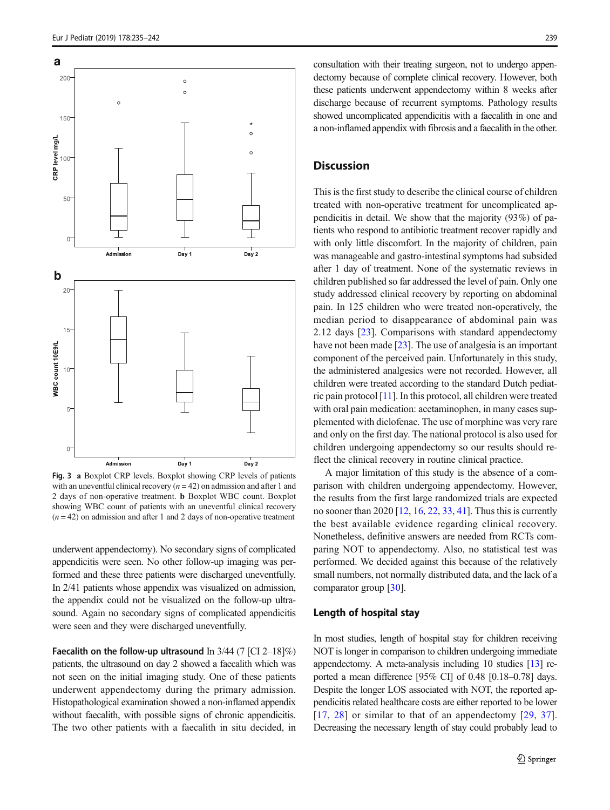<span id="page-4-0"></span>**a**

 $20<sup>0</sup>$ 

150

50

CRP level mg/L

**b**

 $20$ 





Fig. 3 a Boxplot CRP levels. Boxplot showing CRP levels of patients with an uneventful clinical recovery  $(n = 42)$  on admission and after 1 and 2 days of non-operative treatment. b Boxplot WBC count. Boxplot showing WBC count of patients with an uneventful clinical recovery  $(n = 42)$  on admission and after 1 and 2 days of non-operative treatment

underwent appendectomy). No secondary signs of complicated appendicitis were seen. No other follow-up imaging was performed and these three patients were discharged uneventfully. In 2/41 patients whose appendix was visualized on admission, the appendix could not be visualized on the follow-up ultrasound. Again no secondary signs of complicated appendicitis were seen and they were discharged uneventfully.

Faecalith on the follow-up ultrasound In  $3/44$  (7 [CI 2–18]%) patients, the ultrasound on day 2 showed a faecalith which was not seen on the initial imaging study. One of these patients underwent appendectomy during the primary admission. Histopathological examination showed a non-inflamed appendix without faecalith, with possible signs of chronic appendicitis. The two other patients with a faecalith in situ decided, in consultation with their treating surgeon, not to undergo appendectomy because of complete clinical recovery. However, both these patients underwent appendectomy within 8 weeks after discharge because of recurrent symptoms. Pathology results showed uncomplicated appendicitis with a faecalith in one and a non-inflamed appendix with fibrosis and a faecalith in the other.

# **Discussion**

This is the first study to describe the clinical course of children treated with non-operative treatment for uncomplicated appendicitis in detail. We show that the majority (93%) of patients who respond to antibiotic treatment recover rapidly and with only little discomfort. In the majority of children, pain was manageable and gastro-intestinal symptoms had subsided after 1 day of treatment. None of the systematic reviews in children published so far addressed the level of pain. Only one study addressed clinical recovery by reporting on abdominal pain. In 125 children who were treated non-operatively, the median period to disappearance of abdominal pain was 2.12 days [[23](#page-7-0)]. Comparisons with standard appendectomy have not been made [\[23](#page-7-0)]. The use of analgesia is an important component of the perceived pain. Unfortunately in this study, the administered analgesics were not recorded. However, all children were treated according to the standard Dutch pediatric pain protocol [[11](#page-6-0)]. In this protocol, all children were treated with oral pain medication: acetaminophen, in many cases supplemented with diclofenac. The use of morphine was very rare and only on the first day. The national protocol is also used for children undergoing appendectomy so our results should reflect the clinical recovery in routine clinical practice.

A major limitation of this study is the absence of a comparison with children undergoing appendectomy. However, the results from the first large randomized trials are expected no sooner than 2020 [\[12](#page-6-0), [16](#page-6-0), [22,](#page-7-0) [33,](#page-7-0) [41](#page-7-0)]. Thus this is currently the best available evidence regarding clinical recovery. Nonetheless, definitive answers are needed from RCTs comparing NOT to appendectomy. Also, no statistical test was performed. We decided against this because of the relatively small numbers, not normally distributed data, and the lack of a comparator group [\[30\]](#page-7-0).

# Length of hospital stay

In most studies, length of hospital stay for children receiving NOT is longer in comparison to children undergoing immediate appendectomy. A meta-analysis including 10 studies [[13](#page-6-0)] reported a mean difference [95% CI] of 0.48 [0.18–0.78] days. Despite the longer LOS associated with NOT, the reported appendicitis related healthcare costs are either reported to be lower [\[17,](#page-6-0) [28](#page-7-0)] or similar to that of an appendectomy [\[29,](#page-7-0) [37](#page-7-0)]. Decreasing the necessary length of stay could probably lead to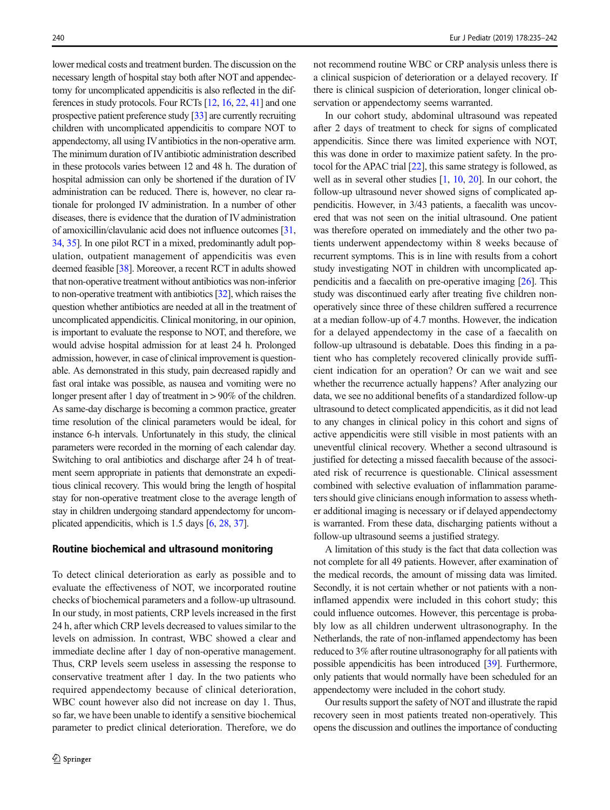lower medical costs and treatment burden. The discussion on the necessary length of hospital stay both after NOT and appendectomy for uncomplicated appendicitis is also reflected in the differences in study protocols. Four RCTs [\[12,](#page-6-0) [16,](#page-6-0) [22,](#page-7-0) [41](#page-7-0)] and one prospective patient preference study [[33](#page-7-0)] are currently recruiting children with uncomplicated appendicitis to compare NOT to appendectomy, all using IVantibiotics in the non-operative arm. The minimum duration of IV antibiotic administration described in these protocols varies between 12 and 48 h. The duration of hospital admission can only be shortened if the duration of IV administration can be reduced. There is, however, no clear rationale for prolonged IV administration. In a number of other diseases, there is evidence that the duration of IV administration of amoxicillin/clavulanic acid does not influence outcomes [\[31,](#page-7-0) [34](#page-7-0), [35\]](#page-7-0). In one pilot RCT in a mixed, predominantly adult population, outpatient management of appendicitis was even deemed feasible [\[38\]](#page-7-0). Moreover, a recent RCT in adults showed that non-operative treatment without antibiotics was non-inferior to non-operative treatment with antibiotics [\[32](#page-7-0)], which raises the question whether antibiotics are needed at all in the treatment of uncomplicated appendicitis. Clinical monitoring, in our opinion, is important to evaluate the response to NOT, and therefore, we would advise hospital admission for at least 24 h. Prolonged admission, however, in case of clinical improvement is questionable. As demonstrated in this study, pain decreased rapidly and fast oral intake was possible, as nausea and vomiting were no longer present after 1 day of treatment in > 90% of the children. As same-day discharge is becoming a common practice, greater time resolution of the clinical parameters would be ideal, for instance 6-h intervals. Unfortunately in this study, the clinical parameters were recorded in the morning of each calendar day. Switching to oral antibiotics and discharge after 24 h of treatment seem appropriate in patients that demonstrate an expeditious clinical recovery. This would bring the length of hospital stay for non-operative treatment close to the average length of stay in children undergoing standard appendectomy for uncomplicated appendicitis, which is 1.5 days [\[6](#page-6-0), [28](#page-7-0), [37\]](#page-7-0).

# Routine biochemical and ultrasound monitoring

To detect clinical deterioration as early as possible and to evaluate the effectiveness of NOT, we incorporated routine checks of biochemical parameters and a follow-up ultrasound. In our study, in most patients, CRP levels increased in the first 24 h, after which CRP levels decreased to values similar to the levels on admission. In contrast, WBC showed a clear and immediate decline after 1 day of non-operative management. Thus, CRP levels seem useless in assessing the response to conservative treatment after 1 day. In the two patients who required appendectomy because of clinical deterioration, WBC count however also did not increase on day 1. Thus, so far, we have been unable to identify a sensitive biochemical parameter to predict clinical deterioration. Therefore, we do not recommend routine WBC or CRP analysis unless there is a clinical suspicion of deterioration or a delayed recovery. If there is clinical suspicion of deterioration, longer clinical observation or appendectomy seems warranted.

In our cohort study, abdominal ultrasound was repeated after 2 days of treatment to check for signs of complicated appendicitis. Since there was limited experience with NOT, this was done in order to maximize patient safety. In the protocol for the APAC trial [\[22\]](#page-7-0), this same strategy is followed, as well as in several other studies [\[1](#page-6-0), [10](#page-6-0), [20](#page-6-0)]. In our cohort, the follow-up ultrasound never showed signs of complicated appendicitis. However, in 3/43 patients, a faecalith was uncovered that was not seen on the initial ultrasound. One patient was therefore operated on immediately and the other two patients underwent appendectomy within 8 weeks because of recurrent symptoms. This is in line with results from a cohort study investigating NOT in children with uncomplicated appendicitis and a faecalith on pre-operative imaging [\[26\]](#page-7-0). This study was discontinued early after treating five children nonoperatively since three of these children suffered a recurrence at a median follow-up of 4.7 months. However, the indication for a delayed appendectomy in the case of a faecalith on follow-up ultrasound is debatable. Does this finding in a patient who has completely recovered clinically provide sufficient indication for an operation? Or can we wait and see whether the recurrence actually happens? After analyzing our data, we see no additional benefits of a standardized follow-up ultrasound to detect complicated appendicitis, as it did not lead to any changes in clinical policy in this cohort and signs of active appendicitis were still visible in most patients with an uneventful clinical recovery. Whether a second ultrasound is justified for detecting a missed faecalith because of the associated risk of recurrence is questionable. Clinical assessment combined with selective evaluation of inflammation parameters should give clinicians enough information to assess whether additional imaging is necessary or if delayed appendectomy is warranted. From these data, discharging patients without a follow-up ultrasound seems a justified strategy.

A limitation of this study is the fact that data collection was not complete for all 49 patients. However, after examination of the medical records, the amount of missing data was limited. Secondly, it is not certain whether or not patients with a noninflamed appendix were included in this cohort study; this could influence outcomes. However, this percentage is probably low as all children underwent ultrasonography. In the Netherlands, the rate of non-inflamed appendectomy has been reduced to 3% after routine ultrasonography for all patients with possible appendicitis has been introduced [[39](#page-7-0)]. Furthermore, only patients that would normally have been scheduled for an appendectomy were included in the cohort study.

Our results support the safety of NOT and illustrate the rapid recovery seen in most patients treated non-operatively. This opens the discussion and outlines the importance of conducting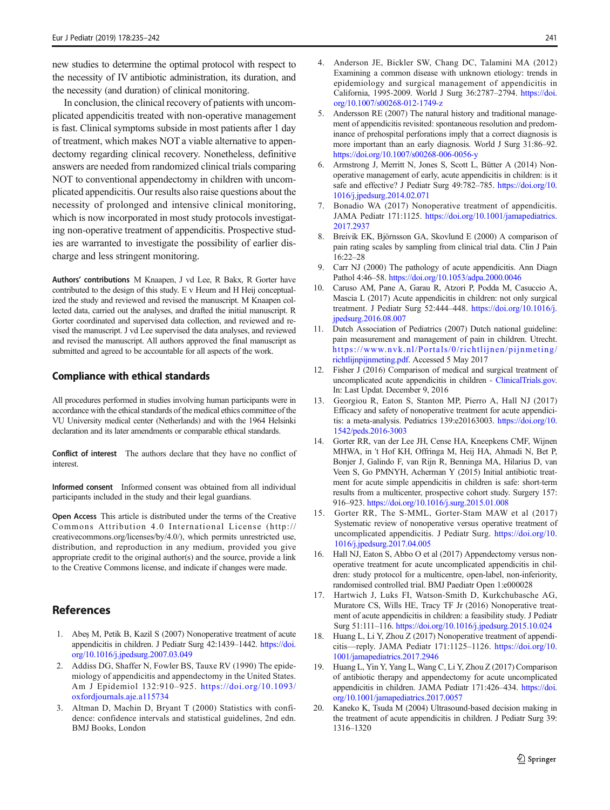<span id="page-6-0"></span>new studies to determine the optimal protocol with respect to the necessity of IV antibiotic administration, its duration, and the necessity (and duration) of clinical monitoring.

In conclusion, the clinical recovery of patients with uncomplicated appendicitis treated with non-operative management is fast. Clinical symptoms subside in most patients after 1 day of treatment, which makes NOT a viable alternative to appendectomy regarding clinical recovery. Nonetheless, definitive answers are needed from randomized clinical trials comparing NOT to conventional appendectomy in children with uncomplicated appendicitis. Our results also raise questions about the necessity of prolonged and intensive clinical monitoring, which is now incorporated in most study protocols investigating non-operative treatment of appendicitis. Prospective studies are warranted to investigate the possibility of earlier discharge and less stringent monitoring.

Authors' contributions M Knaapen, J vd Lee, R Bakx, R Gorter have contributed to the design of this study. E v Heurn and H Heij conceptualized the study and reviewed and revised the manuscript. M Knaapen collected data, carried out the analyses, and drafted the initial manuscript. R Gorter coordinated and supervised data collection, and reviewed and revised the manuscript. J vd Lee supervised the data analyses, and reviewed and revised the manuscript. All authors approved the final manuscript as submitted and agreed to be accountable for all aspects of the work.

## Compliance with ethical standards

All procedures performed in studies involving human participants were in accordance with the ethical standards of the medical ethics committee of the VU University medical center (Netherlands) and with the 1964 Helsinki declaration and its later amendments or comparable ethical standards.

Conflict of interest The authors declare that they have no conflict of interest.

Informed consent Informed consent was obtained from all individual participants included in the study and their legal guardians.

Open Access This article is distributed under the terms of the Creative Commons Attribution 4.0 International License (http:// creativecommons.org/licenses/by/4.0/), which permits unrestricted use, distribution, and reproduction in any medium, provided you give appropriate credit to the original author(s) and the source, provide a link to the Creative Commons license, and indicate if changes were made.

# References

- 1. Abeş M, Petik B, Kazil S (2007) Nonoperative treatment of acute appendicitis in children. J Pediatr Surg 42:1439–1442. [https://doi.](https://doi.org/10.1016/j.jpedsurg.2007.03.049) [org/10.1016/j.jpedsurg.2007.03.049](https://doi.org/10.1016/j.jpedsurg.2007.03.049)
- 2. Addiss DG, Shaffer N, Fowler BS, Tauxe RV (1990) The epidemiology of appendicitis and appendectomy in the United States. Am J Epidemiol 132:910–925. [https://doi.org/10.1093/](https://doi.org/10.1093/oxfordjournals.aje.a115734) [oxfordjournals.aje.a115734](https://doi.org/10.1093/oxfordjournals.aje.a115734)
- 3. Altman D, Machin D, Bryant T (2000) Statistics with confidence: confidence intervals and statistical guidelines, 2nd edn. BMJ Books, London
- 4. Anderson JE, Bickler SW, Chang DC, Talamini MA (2012) Examining a common disease with unknown etiology: trends in epidemiology and surgical management of appendicitis in California, 1995-2009. World J Surg 36:2787–2794. [https://doi.](https://doi.org/10.1007/s00268-012-1749-z) [org/10.1007/s00268-012-1749-z](https://doi.org/10.1007/s00268-012-1749-z)
- 5. Andersson RE (2007) The natural history and traditional management of appendicitis revisited: spontaneous resolution and predominance of prehospital perforations imply that a correct diagnosis is more important than an early diagnosis. World J Surg 31:86–92. <https://doi.org/10.1007/s00268-006-0056-y>
- 6. Armstrong J, Merritt N, Jones S, Scott L, Bütter A (2014) Nonoperative management of early, acute appendicitis in children: is it safe and effective? J Pediatr Surg 49:782–785. [https://doi.org/10.](https://doi.org/10.1016/j.jpedsurg.2014.02.071) [1016/j.jpedsurg.2014.02.071](https://doi.org/10.1016/j.jpedsurg.2014.02.071)
- 7. Bonadio WA (2017) Nonoperative treatment of appendicitis. JAMA Pediatr 171:1125. [https://doi.org/10.1001/jamapediatrics.](https://doi.org/10.1001/jamapediatrics.2017.2937) [2017.2937](https://doi.org/10.1001/jamapediatrics.2017.2937)
- 8. Breivik EK, Björnsson GA, Skovlund E (2000) A comparison of pain rating scales by sampling from clinical trial data. Clin J Pain 16:22–28
- Carr NJ (2000) The pathology of acute appendicitis. Ann Diagn Pathol 4:46–58. <https://doi.org/10.1053/adpa.2000.0046>
- 10. Caruso AM, Pane A, Garau R, Atzori P, Podda M, Casuccio A, Mascia L (2017) Acute appendicitis in children: not only surgical treatment. J Pediatr Surg 52:444–448. [https://doi.org/10.1016/j.](https://doi.org/10.1016/j.jpedsurg.2016.08.007) [jpedsurg.2016.08.007](https://doi.org/10.1016/j.jpedsurg.2016.08.007)
- 11. Dutch Association of Pediatrics (2007) Dutch national guideline: pain measurement and management of pain in children. Utrecht. [https://www.nvk.nl/Portals/0/richtlijnen/pijnmeting/](https://www.nvk.nl/Portals/0/richtlijnen/pijnmeting/richtlijnpijnmeting.pdf) [richtlijnpijnmeting.pdf.](https://www.nvk.nl/Portals/0/richtlijnen/pijnmeting/richtlijnpijnmeting.pdf) Accessed 5 May 2017
- 12. Fisher J (2016) Comparison of medical and surgical treatment of uncomplicated acute appendicitis in children - [ClinicalTrials.gov.](http://clinicaltrials.gov/) In: Last Updat. December 9, 2016
- 13. Georgiou R, Eaton S, Stanton MP, Pierro A, Hall NJ (2017) Efficacy and safety of nonoperative treatment for acute appendicitis: a meta-analysis. Pediatrics 139:e20163003. [https://doi.org/10.](https://doi.org/10.1542/peds.2016-3003) [1542/peds.2016-3003](https://doi.org/10.1542/peds.2016-3003)
- 14. Gorter RR, van der Lee JH, Cense HA, Kneepkens CMF, Wijnen MHWA, in 't Hof KH, Offringa M, Heij HA, Ahmadi N, Bet P, Bonjer J, Galindo F, van Rijn R, Benninga MA, Hilarius D, van Veen S, Go PMNYH, Acherman Y (2015) Initial antibiotic treatment for acute simple appendicitis in children is safe: short-term results from a multicenter, prospective cohort study. Surgery 157: 916–923. <https://doi.org/10.1016/j.surg.2015.01.008>
- 15. Gorter RR, The S-MML, Gorter-Stam MAW et al (2017) Systematic review of nonoperative versus operative treatment of uncomplicated appendicitis. J Pediatr Surg. [https://doi.org/10.](https://doi.org/10.1016/j.jpedsurg.2017.04.005) [1016/j.jpedsurg.2017.04.005](https://doi.org/10.1016/j.jpedsurg.2017.04.005)
- 16. Hall NJ, Eaton S, Abbo O et al (2017) Appendectomy versus nonoperative treatment for acute uncomplicated appendicitis in children: study protocol for a multicentre, open-label, non-inferiority, randomised controlled trial. BMJ Paediatr Open 1:e000028
- 17. Hartwich J, Luks FI, Watson-Smith D, Kurkchubasche AG, Muratore CS, Wills HE, Tracy TF Jr (2016) Nonoperative treatment of acute appendicitis in children: a feasibility study. J Pediatr Surg 51:111–116. <https://doi.org/10.1016/j.jpedsurg.2015.10.024>
- 18. Huang L, Li Y, Zhou Z (2017) Nonoperative treatment of appendicitis—reply. JAMA Pediatr 171:1125–1126. [https://doi.org/10.](https://doi.org/10.1001/jamapediatrics.2017.2946) [1001/jamapediatrics.2017.2946](https://doi.org/10.1001/jamapediatrics.2017.2946)
- 19. Huang L, Yin Y, Yang L, Wang C, Li Y, Zhou Z (2017) Comparison of antibiotic therapy and appendectomy for acute uncomplicated appendicitis in children. JAMA Pediatr 171:426–434. [https://doi.](https://doi.org/10.1001/jamapediatrics.2017.0057) [org/10.1001/jamapediatrics.2017.0057](https://doi.org/10.1001/jamapediatrics.2017.0057)
- 20. Kaneko K, Tsuda M (2004) Ultrasound-based decision making in the treatment of acute appendicitis in children. J Pediatr Surg 39: 1316–1320